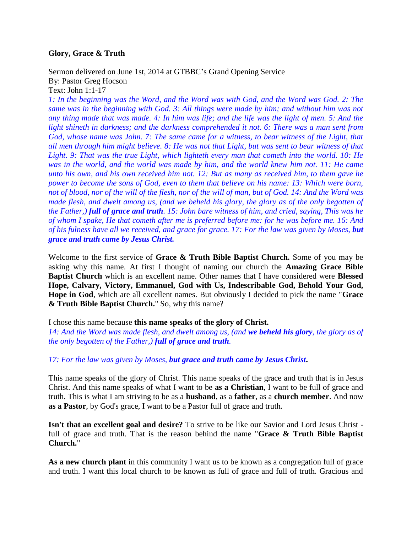# **Glory, Grace & Truth**

Sermon delivered on June 1st, 2014 at GTBBC's Grand Opening Service By: Pastor Greg Hocson Text: John 1:1-17

*1: In the beginning was the Word, and the Word was with God, and the Word was God. 2: The same was in the beginning with God. 3: All things were made by him; and without him was not any thing made that was made. 4: In him was life; and the life was the light of men. 5: And the light shineth in darkness; and the darkness comprehended it not. 6: There was a man sent from*  God, whose name was John. 7: The same came for a witness, to bear witness of the Light, that *all men through him might believe. 8: He was not that Light, but was sent to bear witness of that Light. 9: That was the true Light, which lighteth every man that cometh into the world. 10: He was in the world, and the world was made by him, and the world knew him not. 11: He came unto his own, and his own received him not. 12: But as many as received him, to them gave he power to become the sons of God, even to them that believe on his name: 13: Which were born, not of blood, nor of the will of the flesh, nor of the will of man, but of God. 14: And the Word was made flesh, and dwelt among us, (and we beheld his glory, the glory as of the only begotten of the Father,) full of grace and truth. 15: John bare witness of him, and cried, saying, This was he of whom I spake, He that cometh after me is preferred before me: for he was before me. 16: And of his fulness have all we received, and grace for grace. 17: For the law was given by Moses, but grace and truth came by Jesus Christ.*

Welcome to the first service of **Grace & Truth Bible Baptist Church.** Some of you may be asking why this name. At first I thought of naming our church the **Amazing Grace Bible Baptist Church** which is an excellent name. Other names that I have considered were **Blessed Hope, Calvary, Victory, Emmanuel, God with Us, Indescribable God, Behold Your God, Hope in God**, which are all excellent names. But obviously I decided to pick the name "**Grace & Truth Bible Baptist Church.**" So, why this name?

I chose this name because **this name speaks of the glory of Christ.**

*14: And the Word was made flesh, and dwelt among us, (and we beheld his glory, the glory as of the only begotten of the Father,) full of grace and truth.* 

*17: For the law was given by Moses, but grace and truth came by Jesus Christ***.**

This name speaks of the glory of Christ. This name speaks of the grace and truth that is in Jesus Christ. And this name speaks of what I want to be **as a Christian**, I want to be full of grace and truth. This is what I am striving to be as a **husband**, as a **father**, as a **church member**. And now **as a Pastor**, by God's grace, I want to be a Pastor full of grace and truth.

**Isn't that an excellent goal and desire?** To strive to be like our Savior and Lord Jesus Christ full of grace and truth. That is the reason behind the name "**Grace & Truth Bible Baptist Church.**"

**As a new church plant** in this community I want us to be known as a congregation full of grace and truth. I want this local church to be known as full of grace and full of truth. Gracious and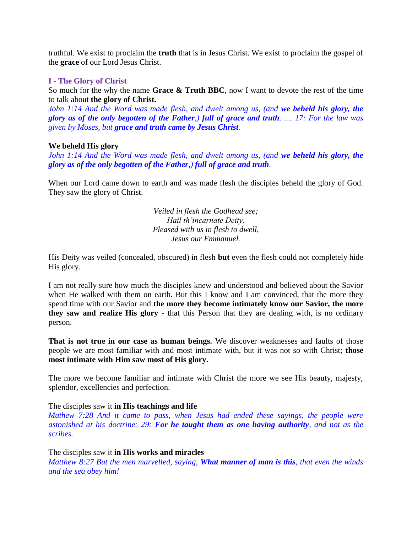truthful. We exist to proclaim the **truth** that is in Jesus Christ. We exist to proclaim the gospel of the **grace** of our Lord Jesus Christ.

# **I - The Glory of Christ**

So much for the why the name **Grace & Truth BBC**, now I want to devote the rest of the time to talk about **the glory of Christ.**

*John 1:14 And the Word was made flesh, and dwelt among us, (and we beheld his glory, the glory as of the only begotten of the Father,) full of grace and truth. .... 17: For the law was given by Moses, but grace and truth came by Jesus Christ.* 

### **We beheld His glory**

*John 1:14 And the Word was made flesh, and dwelt among us, (and we beheld his glory, the glory as of the only begotten of the Father,) full of grace and truth.* 

When our Lord came down to earth and was made flesh the disciples beheld the glory of God. They saw the glory of Christ.

> *Veiled in flesh the Godhead see; Hail th'incarnate Deity, Pleased with us in flesh to dwell, Jesus our Emmanuel.*

His Deity was veiled (concealed, obscured) in flesh **but** even the flesh could not completely hide His glory.

I am not really sure how much the disciples knew and understood and believed about the Savior when He walked with them on earth. But this I know and I am convinced, that the more they spend time with our Savior and **the more they become intimately know our Savior, the more they saw and realize His glory -** that this Person that they are dealing with, is no ordinary person.

**That is not true in our case as human beings.** We discover weaknesses and faults of those people we are most familiar with and most intimate with, but it was not so with Christ; **those most intimate with Him saw most of His glory.**

The more we become familiar and intimate with Christ the more we see His beauty, majesty, splendor, excellencies and perfection.

# The disciples saw it **in His teachings and life**

*Mathew 7:28 And it came to pass, when Jesus had ended these sayings, the people were astonished at his doctrine: 29: For he taught them as one having authority, and not as the scribes.*

#### The disciples saw it **in His works and miracles**

*Matthew 8:27 But the men marvelled, saying, What manner of man is this, that even the winds and the sea obey him!*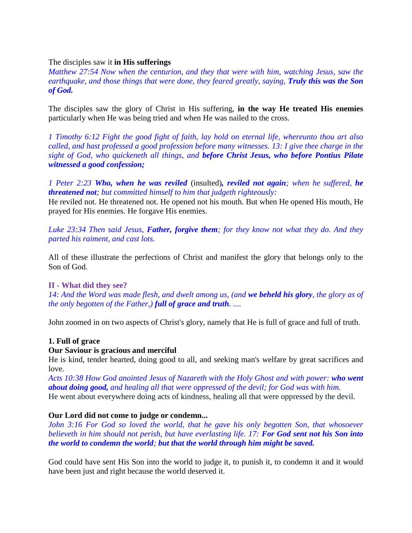# The disciples saw it **in His sufferings**

*Matthew 27:54 Now when the centurion, and they that were with him, watching Jesus, saw the earthquake, and those things that were done, they feared greatly, saying, Truly this was the Son of God.*

The disciples saw the glory of Christ in His suffering, **in the way He treated His enemies**  particularly when He was being tried and when He was nailed to the cross.

*1 Timothy 6:12 Fight the good fight of faith, lay hold on eternal life, whereunto thou art also called, and hast professed a good profession before many witnesses. 13: I give thee charge in the sight of God, who quickeneth all things, and before Christ Jesus, who before Pontius Pilate witnessed a good confession;*

*1 Peter 2:23 Who, when he was reviled* (insulted)*, reviled not again; when he suffered, he threatened not; but committed himself to him that judgeth righteously:*

He reviled not. He threatened not. He opened not his mouth. But when He opened His mouth, He prayed for His enemies. He forgave His enemies.

*Luke 23:34 Then said Jesus, Father, forgive them; for they know not what they do. And they parted his raiment, and cast lots.*

All of these illustrate the perfections of Christ and manifest the glory that belongs only to the Son of God.

# **II - What did they see?**

*14: And the Word was made flesh, and dwelt among us, (and we beheld his glory, the glory as of the only begotten of the Father,) full of grace and truth. ....* 

John zoomed in on two aspects of Christ's glory, namely that He is full of grace and full of truth.

# **1. Full of grace**

# **Our Saviour is gracious and merciful**

He is kind, tender hearted, doing good to all, and seeking man's welfare by great sacrifices and love.

*Acts 10:38 How God anointed Jesus of Nazareth with the Holy Ghost and with power: who went about doing good, and healing all that were oppressed of the devil; for God was with him.* He went about everywhere doing acts of kindness, healing all that were oppressed by the devil.

# **Our Lord did not come to judge or condemn...**

*John 3:16 For God so loved the world, that he gave his only begotten Son, that whosoever believeth in him should not perish, but have everlasting life. 17: For God sent not his Son into the world to condemn the world; but that the world through him might be saved.*

God could have sent His Son into the world to judge it, to punish it, to condemn it and it would have been just and right because the world deserved it.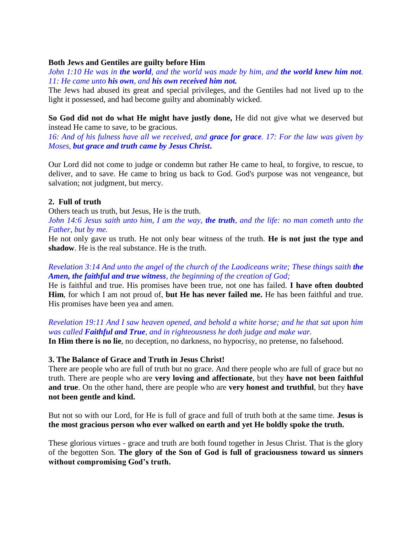## **Both Jews and Gentiles are guilty before Him**

*John 1:10 He was in the world, and the world was made by him, and the world knew him not. 11: He came unto his own, and his own received him not.*

The Jews had abused its great and special privileges, and the Gentiles had not lived up to the light it possessed, and had become guilty and abominably wicked.

**So God did not do what He might have justly done,** He did not give what we deserved but instead He came to save, to be gracious.

*16: And of his fulness have all we received, and grace for grace. 17: For the law was given by Moses, but grace and truth came by Jesus Christ***.**

Our Lord did not come to judge or condemn but rather He came to heal, to forgive, to rescue, to deliver, and to save. He came to bring us back to God. God's purpose was not vengeance, but salvation; not judgment, but mercy.

# **2. Full of truth**

Others teach us truth, but Jesus, He is the truth.

*John 14:6 Jesus saith unto him, I am the way, the truth, and the life: no man cometh unto the Father, but by me.*

He not only gave us truth. He not only bear witness of the truth. **He is not just the type and shadow**. He is the real substance. He is the truth.

# *Revelation 3:14 And unto the angel of the church of the Laodiceans write; These things saith the Amen, the faithful and true witness, the beginning of the creation of God;*

He is faithful and true. His promises have been true, not one has failed. **I have often doubted Him**, for which I am not proud of, **but He has never failed me.** He has been faithful and true. His promises have been yea and amen.

*Revelation 19:11 And I saw heaven opened, and behold a white horse; and he that sat upon him was called Faithful and True, and in righteousness he doth judge and make war.*

**In Him there is no lie**, no deception, no darkness, no hypocrisy, no pretense, no falsehood.

#### **3. The Balance of Grace and Truth in Jesus Christ!**

There are people who are full of truth but no grace. And there people who are full of grace but no truth. There are people who are **very loving and affectionate**, but they **have not been faithful and true**. On the other hand, there are people who are **very honest and truthful**, but they **have not been gentle and kind.** 

But not so with our Lord, for He is full of grace and full of truth both at the same time. **Jesus is the most gracious person who ever walked on earth and yet He boldly spoke the truth.** 

These glorious virtues - grace and truth are both found together in Jesus Christ. That is the glory of the begotten Son. **The glory of the Son of God is full of graciousness toward us sinners without compromising God's truth.**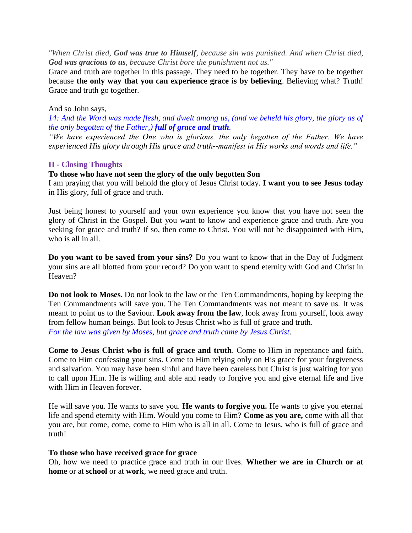*"When Christ died, God was true to Himself, because sin was punished. And when Christ died, God was gracious to us, because Christ bore the punishment not us."*

Grace and truth are together in this passage. They need to be together. They have to be together because **the only way that you can experience grace is by believing**. Believing what? Truth! Grace and truth go together.

## And so John says,

*14: And the Word was made flesh, and dwelt among us, (and we beheld his glory, the glory as of the only begotten of the Father,) full of grace and truth.* 

*"We have experienced the One who is glorious, the only begotten of the Father. We have experienced His glory through His grace and truth--manifest in His works and words and life."*

# **II - Closing Thoughts**

# **To those who have not seen the glory of the only begotten Son**

I am praying that you will behold the glory of Jesus Christ today. **I want you to see Jesus today** in His glory, full of grace and truth.

Just being honest to yourself and your own experience you know that you have not seen the glory of Christ in the Gospel. But you want to know and experience grace and truth. Are you seeking for grace and truth? If so, then come to Christ. You will not be disappointed with Him, who is all in all.

**Do you want to be saved from your sins?** Do you want to know that in the Day of Judgment your sins are all blotted from your record? Do you want to spend eternity with God and Christ in Heaven?

**Do not look to Moses.** Do not look to the law or the Ten Commandments, hoping by keeping the Ten Commandments will save you. The Ten Commandments was not meant to save us. It was meant to point us to the Saviour. **Look away from the law**, look away from yourself, look away from fellow human beings. But look to Jesus Christ who is full of grace and truth. *For the law was given by Moses, but grace and truth came by Jesus Christ*.

**Come to Jesus Christ who is full of grace and truth**. Come to Him in repentance and faith. Come to Him confessing your sins. Come to Him relying only on His grace for your forgiveness and salvation. You may have been sinful and have been careless but Christ is just waiting for you to call upon Him. He is willing and able and ready to forgive you and give eternal life and live with Him in Heaven forever.

He will save you. He wants to save you. **He wants to forgive you.** He wants to give you eternal life and spend eternity with Him. Would you come to Him? **Come as you are,** come with all that you are, but come, come, come to Him who is all in all. Come to Jesus, who is full of grace and truth!

# **To those who have received grace for grace**

Oh, how we need to practice grace and truth in our lives. **Whether we are in Church or at home** or at **school** or at **work**, we need grace and truth.